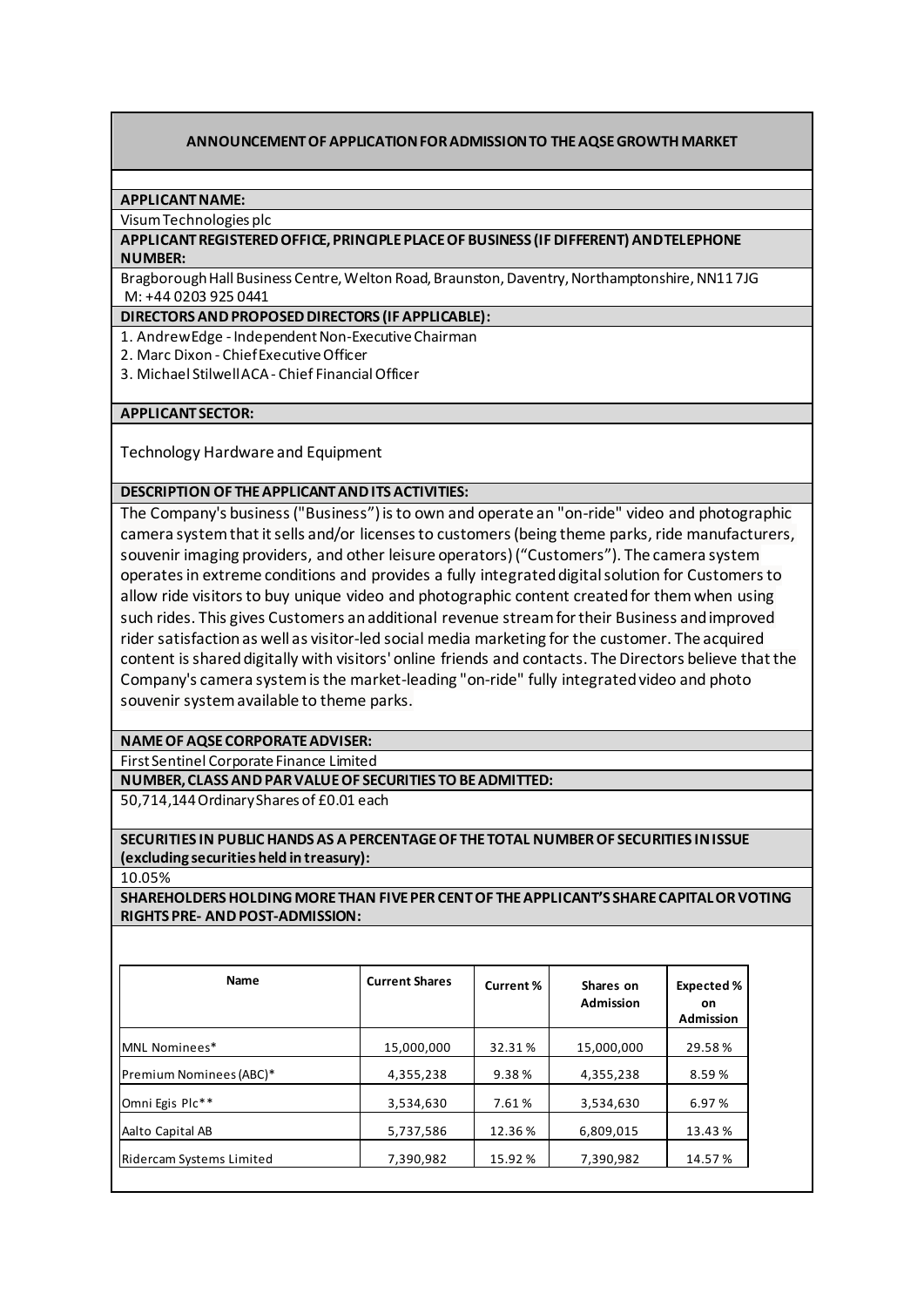# **ANNOUNCEMENT OF APPLICATION FOR ADMISSION TO THE AQSEGROWTH MARKET**

## **APPLICANT NAME:**

Visum Technologies plc

## **APPLICANT REGISTERED OFFICE, PRINCIPLE PLACE OF BUSINESS (IF DIFFERENT) AND TELEPHONE NUMBER:**

BragboroughHall Business Centre, Welton Road, Braunston, Daventry, Northamptonshire, NN11 7JG M: +44 0203 925 0441

## **DIRECTORS AND PROPOSED DIRECTORS (IF APPLICABLE):**

1. Andrew Edge - Independent Non-Executive Chairman

2. Marc Dixon - Chief Executive Officer

3. Michael Stilwell ACA- Chief Financial Officer

## **APPLICANT SECTOR:**

Technology Hardware and Equipment

**DESCRIPTION OF THE APPLICANT AND ITS ACTIVITIES:**

The Company's business ("Business") is to own and operate an "on-ride" video and photographic camera system that it sells and/or licenses to customers (being theme parks, ride manufacturers, souvenir imaging providers, and other leisure operators) ("Customers"). The camera system operates in extreme conditions and provides a fully integrated digital solution for Customers to allow ride visitors to buy unique video and photographic content created for them when using such rides. This gives Customers an additional revenue stream for their Business and improved rider satisfaction as well as visitor-led social media marketing for the customer. The acquired content is shared digitally with visitors' online friends and contacts. The Directors believe that the Company's camera system is the market-leading "on-ride" fully integrated video and photo souvenir system available to theme parks.

# **NAME OF AQSE CORPORATE ADVISER:**

First Sentinel Corporate Finance Limited

**NUMBER, CLASS AND PAR VALUE OF SECURITIES TO BE ADMITTED:**

50,714,144Ordinary Shares of £0.01 each

# **SECURITIES IN PUBLIC HANDS AS A PERCENTAGE OF THE TOTAL NUMBER OF SECURITIES IN ISSUE (excluding securities held in treasury):**

10.05%

**SHAREHOLDERS HOLDINGMORE THAN FIVE PER CENT OF THE APPLICANT'S SHARE CAPITAL OR VOTING RIGHTS PRE- AND POST-ADMISSION:**

| <b>Name</b>              | <b>Current Shares</b> | Current % | Shares on<br><b>Admission</b> | Expected %<br><b>on</b><br><b>Admission</b> |
|--------------------------|-----------------------|-----------|-------------------------------|---------------------------------------------|
| MNL Nominees*            | 15,000,000            | 32.31%    | 15,000,000                    | 29.58%                                      |
| Premium Nominees (ABC)*  | 4,355,238             | 9.38%     | 4,355,238                     | 8.59%                                       |
| Omni Egis Plc**          | 3,534,630             | 7.61%     | 3,534,630                     | 6.97%                                       |
| Aalto Capital AB         | 5,737,586             | 12.36%    | 6,809,015                     | 13.43 %                                     |
| Ridercam Systems Limited | 7,390,982             | 15.92%    | 7,390,982                     | 14.57%                                      |